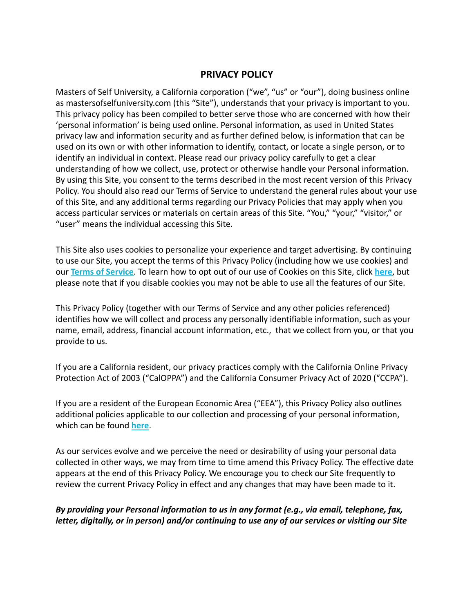### **PRIVACY POLICY**

Masters of Self University, a California corporation ("we", "us" or "our"), doing business online as mastersofselfuniversity.com (this "Site"), understands that your privacy is important to you. This privacy policy has been compiled to better serve those who are concerned with how their 'personal information' is being used online. Personal information, as used in United States privacy law and information security and as further defined below, is information that can be used on its own or with other information to identify, contact, or locate a single person, or to identify an individual in context. Please read our privacy policy carefully to get a clear understanding of how we collect, use, protect or otherwise handle your Personal information. By using this Site, you consent to the terms described in the most recent version of this Privacy Policy. You should also read our Terms of Service to understand the general rules about your use of this Site, and any additional terms regarding our Privacy Policies that may apply when you access particular services or materials on certain areas of this Site. "You," "your," "visitor," or "user" means the individual accessing this Site.

This Site also uses cookies to personalize your experience and target advertising. By continuing to use our Site, you accept the terms of this Privacy Policy (including how we use cookies) and our **Terms of Service**. To learn how to opt out of our use of Cookies on this Site, click **here**, but please note that if you disable cookies you may not be able to use all the features of our Site.

This Privacy Policy (together with our Terms of Service and any other policies referenced) identifies how we will collect and process any personally identifiable information, such as your name, email, address, financial account information, etc., that we collect from you, or that you provide to us.

If you are a California resident, our privacy practices comply with the California Online Privacy Protection Act of 2003 ("CalOPPA") and the California Consumer Privacy Act of 2020 ("CCPA").

If you are a resident of the European Economic Area ("EEA"), this Privacy Policy also outlines additional policies applicable to our collection and processing of your personal information, which can be found **here**.

As our services evolve and we perceive the need or desirability of using your personal data collected in other ways, we may from time to time amend this Privacy Policy. The effective date appears at the end of this Privacy Policy. We encourage you to check our Site frequently to review the current Privacy Policy in effect and any changes that may have been made to it.

*By providing your Personal information to us in any format (e.g., via email, telephone, fax, letter, digitally, or in person) and/or continuing to use any of our services or visiting our Site*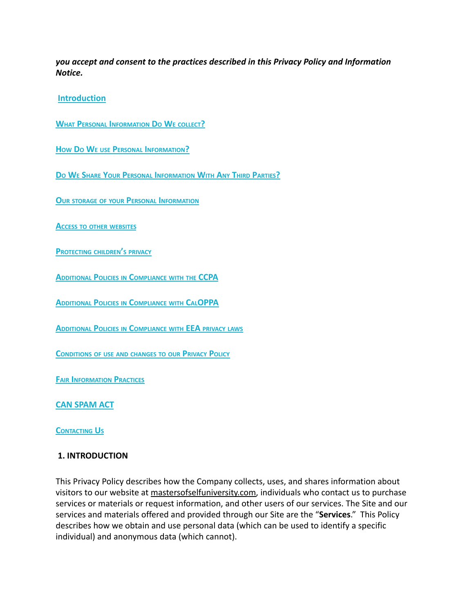*you accept and consent to the practices described in this Privacy Policy and Information Notice.*

#### **Introduction**

**WHAT PERSONAL INFORMATION D<sup>O</sup> W<sup>E</sup> COLLECT?**

**HOW D<sup>O</sup> W<sup>E</sup> USE PERSONAL INFORMATION?**

**D<sup>O</sup> W<sup>E</sup> SHARE YOUR PERSONAL INFORMATION WITH ANY THIRD PARTIES?**

**OUR STORAGE OF YOUR PERSONAL INFORMATION**

**ACCESS TO OTHER WEBSITES**

**PROTECTING CHILDREN'<sup>S</sup> PRIVACY**

**ADDITIONAL POLICIES IN COMPLIANCE WITH THE CCPA**

**ADDITIONAL POLICIES IN COMPLIANCE WITH CALOPPA**

**ADDITIONAL POLICIES IN COMPLIANCE WITH EEA PRIVACY LAWS**

**CONDITIONS OF USE AND CHANGES TO OUR PRIVACY POLICY**

**FAIR INFORMATION PRACTICES**

**CAN SPAM ACT**

**CONTACTING US**

#### **1. INTRODUCTION**

This Privacy Policy describes how the Company collects, uses, and shares information about visitors to our website at mastersofselfuniversity.com, individuals who contact us to purchase services or materials or request information, and other users of our services. The Site and our services and materials offered and provided through our Site are the "**Services**." This Policy describes how we obtain and use personal data (which can be used to identify a specific individual) and anonymous data (which cannot).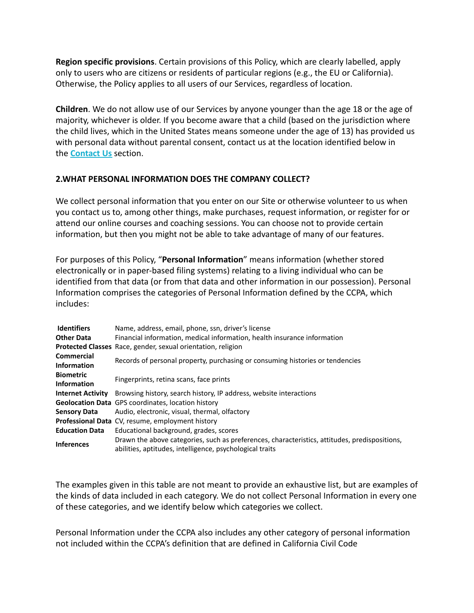**Region specific provisions**. Certain provisions of this Policy, which are clearly labelled, apply only to users who are citizens or residents of particular regions (e.g., the EU or California). Otherwise, the Policy applies to all users of our Services, regardless of location.

**Children**. We do not allow use of our Services by anyone younger than the age 18 or the age of majority, whichever is older. If you become aware that a child (based on the jurisdiction where the child lives, which in the United States means someone under the age of 13) has provided us with personal data without parental consent, contact us at the location identified below in the **Contact Us** section.

#### **2.WHAT PERSONAL INFORMATION DOES THE COMPANY COLLECT?**

We collect personal information that you enter on our Site or otherwise volunteer to us when you contact us to, among other things, make purchases, request information, or register for or attend our online courses and coaching sessions. You can choose not to provide certain information, but then you might not be able to take advantage of many of our features.

For purposes of this Policy, "**Personal Information**" means information (whether stored electronically or in paper-based filing systems) relating to a living individual who can be identified from that data (or from that data and other information in our possession). Personal Information comprises the categories of Personal Information defined by the CCPA, which includes:

| <b>Identifiers</b>       | Name, address, email, phone, ssn, driver's license                                            |
|--------------------------|-----------------------------------------------------------------------------------------------|
| <b>Other Data</b>        | Financial information, medical information, health insurance information                      |
|                          | <b>Protected Classes</b> Race, gender, sexual orientation, religion                           |
| <b>Commercial</b>        | Records of personal property, purchasing or consuming histories or tendencies                 |
| <b>Information</b>       |                                                                                               |
| <b>Biometric</b>         | Fingerprints, retina scans, face prints                                                       |
| <b>Information</b>       |                                                                                               |
| <b>Internet Activity</b> | Browsing history, search history, IP address, website interactions                            |
|                          | <b>Geolocation Data</b> GPS coordinates, location history                                     |
| <b>Sensory Data</b>      | Audio, electronic, visual, thermal, olfactory                                                 |
|                          | <b>Professional Data</b> CV, resume, employment history                                       |
| <b>Education Data</b>    | Educational background, grades, scores                                                        |
| <b>Inferences</b>        | Drawn the above categories, such as preferences, characteristics, attitudes, predispositions, |
|                          | abilities, aptitudes, intelligence, psychological traits                                      |

The examples given in this table are not meant to provide an exhaustive list, but are examples of the kinds of data included in each category. We do not collect Personal Information in every one of these categories, and we identify below which categories we collect.

Personal Information under the CCPA also includes any other category of personal information not included within the CCPA's definition that are defined in California Civil Code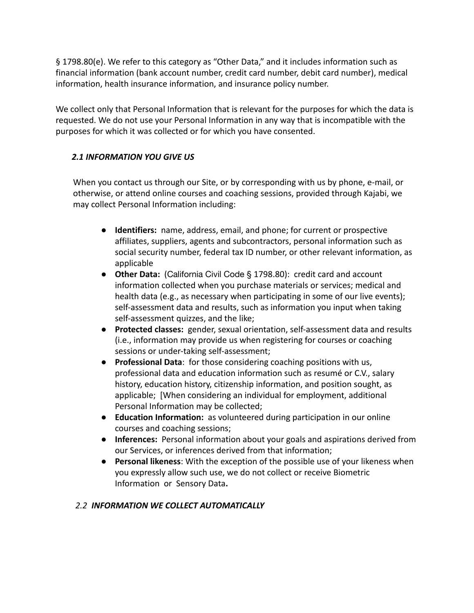§ 1798.80(e). We refer to this category as "Other Data," and it includes information such as financial information (bank account number, credit card number, debit card number), medical information, health insurance information, and insurance policy number.

We collect only that Personal Information that is relevant for the purposes for which the data is requested. We do not use your Personal Information in any way that is incompatible with the purposes for which it was collected or for which you have consented.

### *2.1 INFORMATION YOU GIVE US*

When you contact us through our Site, or by corresponding with us by phone, e-mail, or otherwise, or attend online courses and coaching sessions, provided through Kajabi, we may collect Personal Information including:

- **Identifiers:** name, address, email, and phone; for current or prospective affiliates, suppliers, agents and subcontractors, personal information such as social security number, federal tax ID number, or other relevant information, as applicable
- **Other Data:** (California Civil Code § 1798.80): credit card and account information collected when you purchase materials or services; medical and health data (e.g., as necessary when participating in some of our live events); self-assessment data and results, such as information you input when taking self-assessment quizzes, and the like;
- **Protected classes:** gender, sexual orientation, self-assessment data and results (i.e., information may provide us when registering for courses or coaching sessions or under-taking self-assessment;
- **Professional Data**: for those considering coaching positions with us, professional data and education information such as resumé or C.V., salary history, education history, citizenship information, and position sought, as applicable; [When considering an individual for employment, additional Personal Information may be collected;
- **Education Information:** as volunteered during participation in our online courses and coaching sessions;
- **Inferences:** Personal information about your goals and aspirations derived from our Services, or inferences derived from that information;
- **Personal likeness**: With the exception of the possible use of your likeness when you expressly allow such use, we do not collect or receive Biometric Information or Sensory Data**.**

#### *2.2 INFORMATION WE COLLECT AUTOMATICALLY*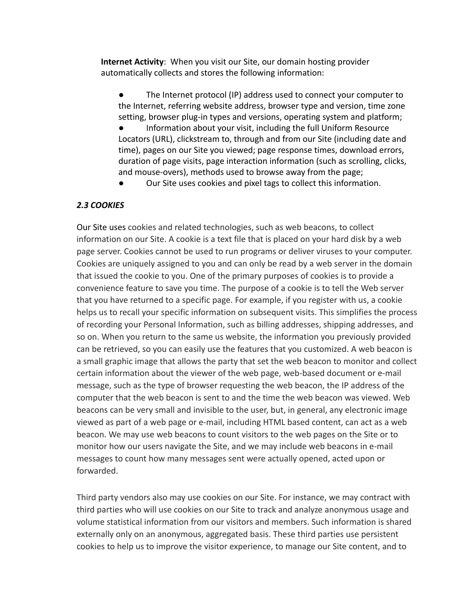**Internet Activity**: When you visit our Site, our domain hosting provider automatically collects and stores the following information:

The Internet protocol (IP) address used to connect your computer to the Internet, referring website address, browser type and version, time zone setting, browser plug-in types and versions, operating system and platform; ● Information about your visit, including the full Uniform Resource Locators (URL), clickstream to, through and from our Site (including date and time), pages on our Site you viewed; page response times, download errors, duration of page visits, page interaction information (such as scrolling, clicks, and mouse-overs), methods used to browse away from the page;

Our Site uses cookies and pixel tags to collect this information.

#### *2.3 COOKIES*

Our Site uses cookies and related technologies, such as web beacons, to collect information on our Site. A cookie is a text file that is placed on your hard disk by a web page server. Cookies cannot be used to run programs or deliver viruses to your computer. Cookies are uniquely assigned to you and can only be read by a web server in the domain that issued the cookie to you. One of the primary purposes of cookies is to provide a convenience feature to save you time. The purpose of a cookie is to tell the Web server that you have returned to a specific page. For example, if you register with us, a cookie helps us to recall your specific information on subsequent visits. This simplifies the process of recording your Personal Information, such as billing addresses, shipping addresses, and so on. When you return to the same us website, the information you previously provided can be retrieved, so you can easily use the features that you customized. A web beacon is a small graphic image that allows the party that set the web beacon to monitor and collect certain information about the viewer of the web page, web-based document or e-mail message, such as the type of browser requesting the web beacon, the IP address of the computer that the web beacon is sent to and the time the web beacon was viewed. Web beacons can be very small and invisible to the user, but, in general, any electronic image viewed as part of a web page or e-mail, including HTML based content, can act as a web beacon. We may use web beacons to count visitors to the web pages on the Site or to monitor how our users navigate the Site, and we may include web beacons in e-mail messages to count how many messages sent were actually opened, acted upon or forwarded.

Third party vendors also may use cookies on our Site. For instance, we may contract with third parties who will use cookies on our Site to track and analyze anonymous usage and volume statistical information from our visitors and members. Such information is shared externally only on an anonymous, aggregated basis. These third parties use persistent cookies to help us to improve the visitor experience, to manage our Site content, and to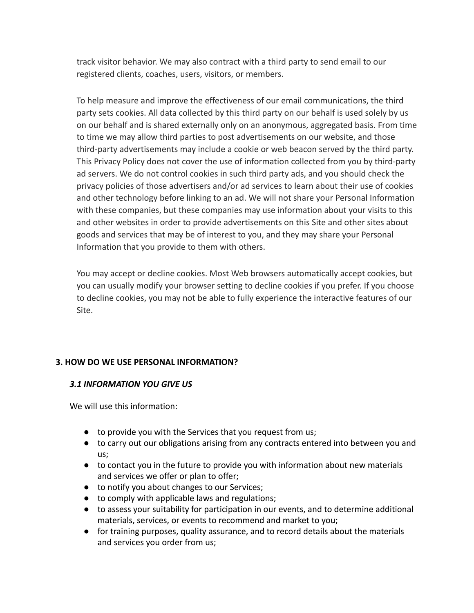track visitor behavior. We may also contract with a third party to send email to our registered clients, coaches, users, visitors, or members.

To help measure and improve the effectiveness of our email communications, the third party sets cookies. All data collected by this third party on our behalf is used solely by us on our behalf and is shared externally only on an anonymous, aggregated basis. From time to time we may allow third parties to post advertisements on our website, and those third-party advertisements may include a cookie or web beacon served by the third party. This Privacy Policy does not cover the use of information collected from you by third-party ad servers. We do not control cookies in such third party ads, and you should check the privacy policies of those advertisers and/or ad services to learn about their use of cookies and other technology before linking to an ad. We will not share your Personal Information with these companies, but these companies may use information about your visits to this and other websites in order to provide advertisements on this Site and other sites about goods and services that may be of interest to you, and they may share your Personal Information that you provide to them with others.

You may accept or decline cookies. Most Web browsers automatically accept cookies, but you can usually modify your browser setting to decline cookies if you prefer. If you choose to decline cookies, you may not be able to fully experience the interactive features of our Site.

#### **3. HOW DO WE USE PERSONAL INFORMATION?**

#### *3.1 INFORMATION YOU GIVE US*

We will use this information:

- to provide you with the Services that you request from us;
- to carry out our obligations arising from any contracts entered into between you and us;
- to contact you in the future to provide you with information about new materials and services we offer or plan to offer;
- to notify you about changes to our Services;
- to comply with applicable laws and regulations;
- to assess your suitability for participation in our events, and to determine additional materials, services, or events to recommend and market to you;
- for training purposes, quality assurance, and to record details about the materials and services you order from us;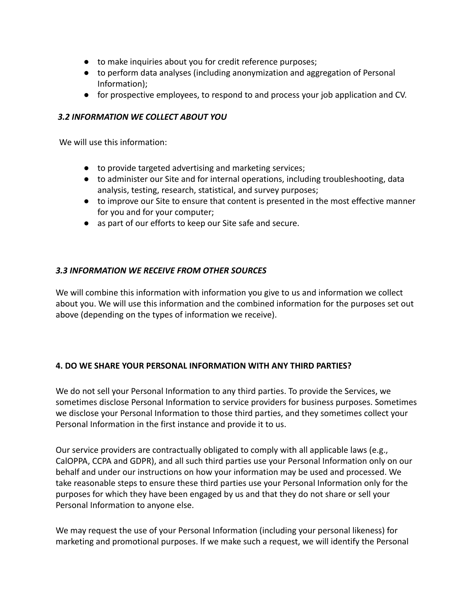- to make inquiries about you for credit reference purposes;
- to perform data analyses (including anonymization and aggregation of Personal Information);
- for prospective employees, to respond to and process your job application and CV.

#### *3.2 INFORMATION WE COLLECT ABOUT YOU*

We will use this information:

- to provide targeted advertising and marketing services;
- to administer our Site and for internal operations, including troubleshooting, data analysis, testing, research, statistical, and survey purposes;
- to improve our Site to ensure that content is presented in the most effective manner for you and for your computer;
- as part of our efforts to keep our Site safe and secure.

#### *3.3 INFORMATION WE RECEIVE FROM OTHER SOURCES*

We will combine this information with information you give to us and information we collect about you. We will use this information and the combined information for the purposes set out above (depending on the types of information we receive).

#### **4. DO WE SHARE YOUR PERSONAL INFORMATION WITH ANY THIRD PARTIES?**

We do not sell your Personal Information to any third parties. To provide the Services, we sometimes disclose Personal Information to service providers for business purposes. Sometimes we disclose your Personal Information to those third parties, and they sometimes collect your Personal Information in the first instance and provide it to us.

Our service providers are contractually obligated to comply with all applicable laws (e.g., CalOPPA, CCPA and GDPR), and all such third parties use your Personal Information only on our behalf and under our instructions on how your information may be used and processed. We take reasonable steps to ensure these third parties use your Personal Information only for the purposes for which they have been engaged by us and that they do not share or sell your Personal Information to anyone else.

We may request the use of your Personal Information (including your personal likeness) for marketing and promotional purposes. If we make such a request, we will identify the Personal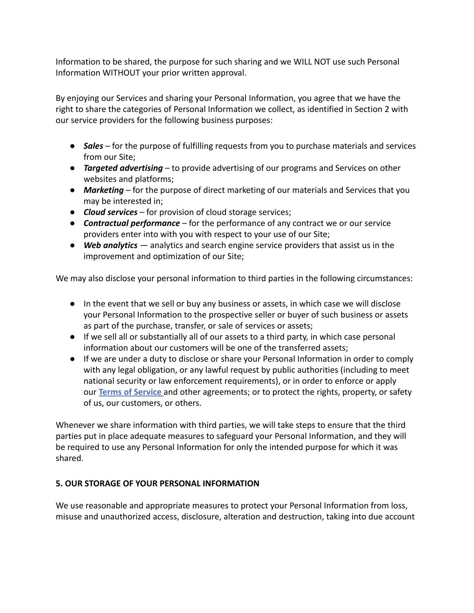Information to be shared, the purpose for such sharing and we WILL NOT use such Personal Information WITHOUT your prior written approval.

By enjoying our Services and sharing your Personal Information, you agree that we have the right to share the categories of Personal Information we collect, as identified in Section 2 with our service providers for the following business purposes:

- *Sales* for the purpose of fulfilling requests from you to purchase materials and services from our Site;
- *Targeted advertising* to provide advertising of our programs and Services on other websites and platforms;
- *Marketing* for the purpose of direct marketing of our materials and Services that you may be interested in;
- *Cloud services* for provision of cloud storage services;
- *Contractual performance* for the performance of any contract we or our service providers enter into with you with respect to your use of our Site;
- *Web analytics* analytics and search engine service providers that assist us in the improvement and optimization of our Site;

We may also disclose your personal information to third parties in the following circumstances:

- In the event that we sell or buy any business or assets, in which case we will disclose your Personal Information to the prospective seller or buyer of such business or assets as part of the purchase, transfer, or sale of services or assets;
- If we sell all or substantially all of our assets to a third party, in which case personal information about our customers will be one of the transferred assets;
- If we are under a duty to disclose or share your Personal Information in order to comply with any legal obligation, or any lawful request by public authorities (including to meet national security or law enforcement requirements), or in order to enforce or apply our **Terms of Service** and other agreements; or to protect the rights, property, or safety of us, our customers, or others.

Whenever we share information with third parties, we will take steps to ensure that the third parties put in place adequate measures to safeguard your Personal Information, and they will be required to use any Personal Information for only the intended purpose for which it was shared.

# **5. OUR STORAGE OF YOUR PERSONAL INFORMATION**

We use reasonable and appropriate measures to protect your Personal Information from loss, misuse and unauthorized access, disclosure, alteration and destruction, taking into due account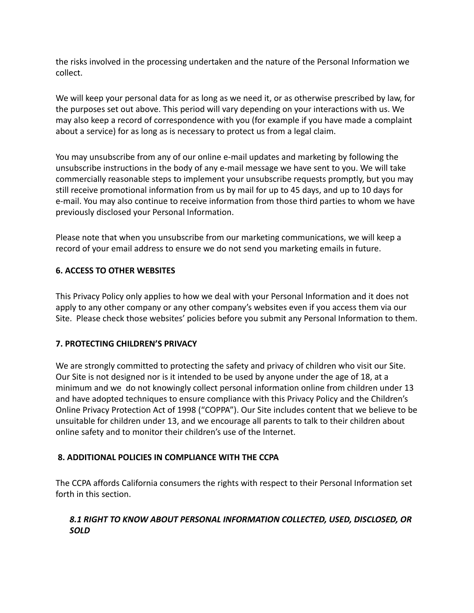the risks involved in the processing undertaken and the nature of the Personal Information we collect.

We will keep your personal data for as long as we need it, or as otherwise prescribed by law, for the purposes set out above. This period will vary depending on your interactions with us. We may also keep a record of correspondence with you (for example if you have made a complaint about a service) for as long as is necessary to protect us from a legal claim.

You may unsubscribe from any of our online e-mail updates and marketing by following the unsubscribe instructions in the body of any e-mail message we have sent to you. We will take commercially reasonable steps to implement your unsubscribe requests promptly, but you may still receive promotional information from us by mail for up to 45 days, and up to 10 days for e-mail. You may also continue to receive information from those third parties to whom we have previously disclosed your Personal Information.

Please note that when you unsubscribe from our marketing communications, we will keep a record of your email address to ensure we do not send you marketing emails in future.

### **6. ACCESS TO OTHER WEBSITES**

This Privacy Policy only applies to how we deal with your Personal Information and it does not apply to any other company or any other company's websites even if you access them via our Site. Please check those websites' policies before you submit any Personal Information to them.

#### **7. PROTECTING CHILDREN'S PRIVACY**

We are strongly committed to protecting the safety and privacy of children who visit our Site. Our Site is not designed nor is it intended to be used by anyone under the age of 18, at a minimum and we do not knowingly collect personal information online from children under 13 and have adopted techniques to ensure compliance with this Privacy Policy and the Children's Online Privacy Protection Act of 1998 ("COPPA"). Our Site includes content that we believe to be unsuitable for children under 13, and we encourage all parents to talk to their children about online safety and to monitor their children's use of the Internet.

# **8. ADDITIONAL POLICIES IN COMPLIANCE WITH THE CCPA**

The CCPA affords California consumers the rights with respect to their Personal Information set forth in this section.

### *8.1 RIGHT TO KNOW ABOUT PERSONAL INFORMATION COLLECTED, USED, DISCLOSED, OR SOLD*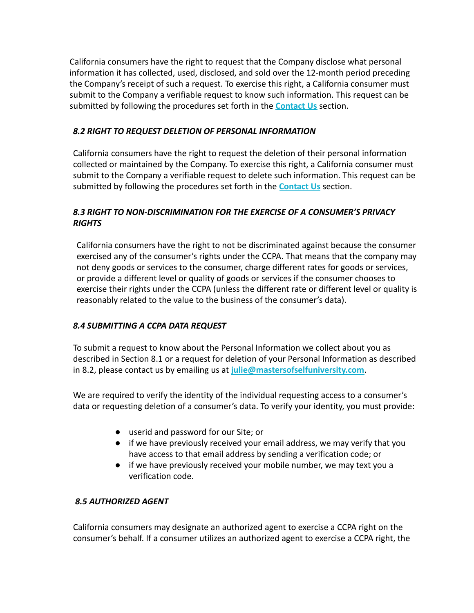California consumers have the right to request that the Company disclose what personal information it has collected, used, disclosed, and sold over the 12-month period preceding the Company's receipt of such a request. To exercise this right, a California consumer must submit to the Company a verifiable request to know such information. This request can be submitted by following the procedures set forth in the **Contact Us** section.

#### *8.2 RIGHT TO REQUEST DELETION OF PERSONAL INFORMATION*

California consumers have the right to request the deletion of their personal information collected or maintained by the Company. To exercise this right, a California consumer must submit to the Company a verifiable request to delete such information. This request can be submitted by following the procedures set forth in the **Contact Us** section.

#### *8.3 RIGHT TO NON-DISCRIMINATION FOR THE EXERCISE OF A CONSUMER'S PRIVACY RIGHTS*

California consumers have the right to not be discriminated against because the consumer exercised any of the consumer's rights under the CCPA. That means that the company may not deny goods or services to the consumer, charge different rates for goods or services, or provide a different level or quality of goods or services if the consumer chooses to exercise their rights under the CCPA (unless the different rate or different level or quality is reasonably related to the value to the business of the consumer's data).

#### *8.4 SUBMITTING A CCPA DATA REQUEST*

To submit a request to know about the Personal Information we collect about you as described in Section 8.1 or a request for deletion of your Personal Information as described in 8.2, please contact us by emailing us at **julie@mastersofselfuniversity.com**.

We are required to verify the identity of the individual requesting access to a consumer's data or requesting deletion of a consumer's data. To verify your identity, you must provide:

- userid and password for our Site; or
- if we have previously received your email address, we may verify that you have access to that email address by sending a verification code; or
- if we have previously received your mobile number, we may text you a verification code.

#### *8.5 AUTHORIZED AGENT*

California consumers may designate an authorized agent to exercise a CCPA right on the consumer's behalf. If a consumer utilizes an authorized agent to exercise a CCPA right, the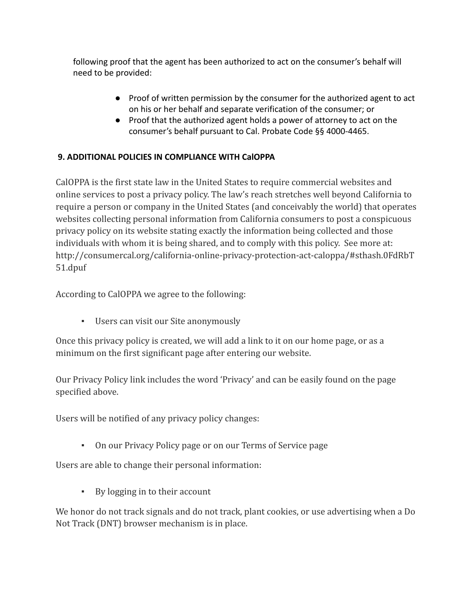following proof that the agent has been authorized to act on the consumer's behalf will need to be provided:

- Proof of written permission by the consumer for the authorized agent to act on his or her behalf and separate verification of the consumer; or
- Proof that the authorized agent holds a power of attorney to act on the consumer's behalf pursuant to Cal. Probate Code §§ 4000-4465.

# **9. ADDITIONAL POLICIES IN COMPLIANCE WITH CalOPPA**

CalOPPA is the first state law in the United States to require commercial websites and online services to post a privacy policy. The law's reach stretches well beyond California to require a person or company in the United States (and conceivably the world) that operates websites collecting personal information from California consumers to post a conspicuous privacy policy on its website stating exactly the information being collected and those individuals with whom it is being shared, and to comply with this policy. See more at: http://consumercal.org/california-online-privacy-protection-act-caloppa/#sthash.0FdRbT 51.dpuf

According to CalOPPA we agree to the following:

▪ Users can visit our Site anonymously

Once this privacy policy is created, we will add a link to it on our home page, or as a minimum on the first significant page after entering our website.

Our Privacy Policy link includes the word 'Privacy' and can be easily found on the page specified above.

Users will be notified of any privacy policy changes:

▪ On our Privacy Policy page or on our Terms of Service page

Users are able to change their personal information:

▪ By logging in to their account

We honor do not track signals and do not track, plant cookies, or use advertising when a Do Not Track (DNT) browser mechanism is in place.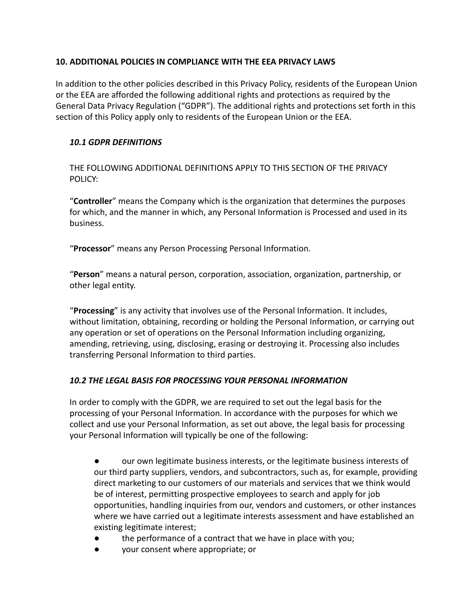#### **10. ADDITIONAL POLICIES IN COMPLIANCE WITH THE EEA PRIVACY LAWS**

In addition to the other policies described in this Privacy Policy, residents of the European Union or the EEA are afforded the following additional rights and protections as required by the General Data Privacy Regulation ("GDPR"). The additional rights and protections set forth in this section of this Policy apply only to residents of the European Union or the EEA.

#### *10.1 GDPR DEFINITIONS*

THE FOLLOWING ADDITIONAL DEFINITIONS APPLY TO THIS SECTION OF THE PRIVACY POLICY:

"**Controller**" means the Company which is the organization that determines the purposes for which, and the manner in which, any Personal Information is Processed and used in its business.

"**Processor**" means any Person Processing Personal Information.

"**Person**" means a natural person, corporation, association, organization, partnership, or other legal entity.

"**Processing**" is any activity that involves use of the Personal Information. It includes, without limitation, obtaining, recording or holding the Personal Information, or carrying out any operation or set of operations on the Personal Information including organizing, amending, retrieving, using, disclosing, erasing or destroying it. Processing also includes transferring Personal Information to third parties.

#### *10.2 THE LEGAL BASIS FOR PROCESSING YOUR PERSONAL INFORMATION*

In order to comply with the GDPR, we are required to set out the legal basis for the processing of your Personal Information. In accordance with the purposes for which we collect and use your Personal Information, as set out above, the legal basis for processing your Personal Information will typically be one of the following:

● our own legitimate business interests, or the legitimate business interests of our third party suppliers, vendors, and subcontractors, such as, for example, providing direct marketing to our customers of our materials and services that we think would be of interest, permitting prospective employees to search and apply for job opportunities, handling inquiries from our, vendors and customers, or other instances where we have carried out a legitimate interests assessment and have established an existing legitimate interest;

- the performance of a contract that we have in place with you;
- your consent where appropriate; or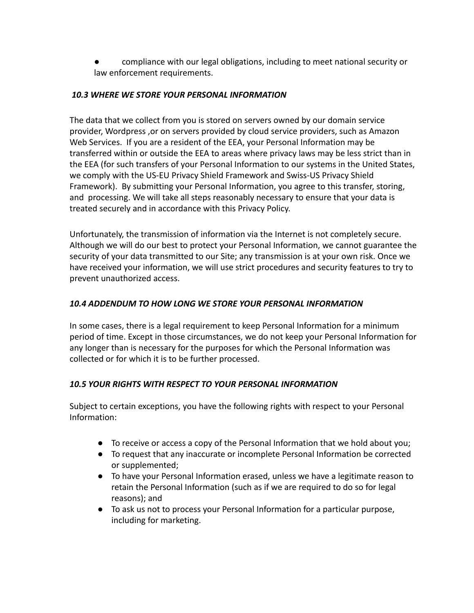compliance with our legal obligations, including to meet national security or law enforcement requirements.

#### *10.3 WHERE WE STORE YOUR PERSONAL INFORMATION*

The data that we collect from you is stored on servers owned by our domain service provider, Wordpress ,or on servers provided by cloud service providers, such as Amazon Web Services. If you are a resident of the EEA, your Personal Information may be transferred within or outside the EEA to areas where privacy laws may be less strict than in the EEA (for such transfers of your Personal Information to our systems in the United States, we comply with the US-EU Privacy Shield Framework and Swiss-US Privacy Shield Framework). By submitting your Personal Information, you agree to this transfer, storing, and processing. We will take all steps reasonably necessary to ensure that your data is treated securely and in accordance with this Privacy Policy.

Unfortunately, the transmission of information via the Internet is not completely secure. Although we will do our best to protect your Personal Information, we cannot guarantee the security of your data transmitted to our Site; any transmission is at your own risk. Once we have received your information, we will use strict procedures and security features to try to prevent unauthorized access.

# *10.4 ADDENDUM TO HOW LONG WE STORE YOUR PERSONAL INFORMATION*

In some cases, there is a legal requirement to keep Personal Information for a minimum period of time. Except in those circumstances, we do not keep your Personal Information for any longer than is necessary for the purposes for which the Personal Information was collected or for which it is to be further processed.

# *10.5 YOUR RIGHTS WITH RESPECT TO YOUR PERSONAL INFORMATION*

Subject to certain exceptions, you have the following rights with respect to your Personal Information:

- To receive or access a copy of the Personal Information that we hold about you;
- To request that any inaccurate or incomplete Personal Information be corrected or supplemented;
- To have your Personal Information erased, unless we have a legitimate reason to retain the Personal Information (such as if we are required to do so for legal reasons); and
- To ask us not to process your Personal Information for a particular purpose, including for marketing.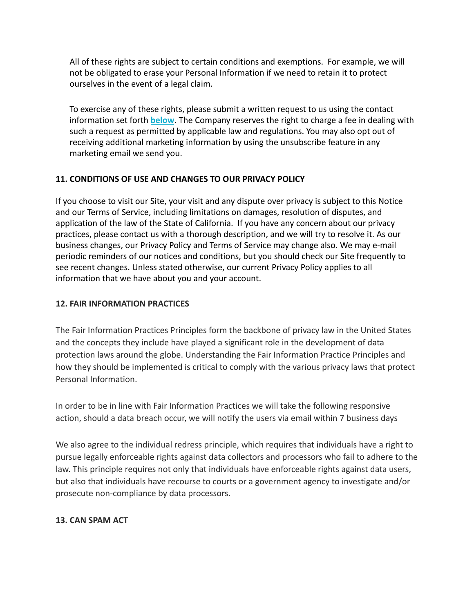All of these rights are subject to certain conditions and exemptions. For example, we will not be obligated to erase your Personal Information if we need to retain it to protect ourselves in the event of a legal claim.

To exercise any of these rights, please submit a written request to us using the contact information set forth **below**. The Company reserves the right to charge a fee in dealing with such a request as permitted by applicable law and regulations. You may also opt out of receiving additional marketing information by using the unsubscribe feature in any marketing email we send you.

### **11. CONDITIONS OF USE AND CHANGES TO OUR PRIVACY POLICY**

If you choose to visit our Site, your visit and any dispute over privacy is subject to this Notice and our Terms of Service, including limitations on damages, resolution of disputes, and application of the law of the State of California. If you have any concern about our privacy practices, please contact us with a thorough description, and we will try to resolve it. As our business changes, our Privacy Policy and Terms of Service may change also. We may e-mail periodic reminders of our notices and conditions, but you should check our Site frequently to see recent changes. Unless stated otherwise, our current Privacy Policy applies to all information that we have about you and your account.

#### **12. FAIR INFORMATION PRACTICES**

The Fair Information Practices Principles form the backbone of privacy law in the United States and the concepts they include have played a significant role in the development of data protection laws around the globe. Understanding the Fair Information Practice Principles and how they should be implemented is critical to comply with the various privacy laws that protect Personal Information.

In order to be in line with Fair Information Practices we will take the following responsive action, should a data breach occur, we will notify the users via email within 7 business days

We also agree to the individual redress principle, which requires that individuals have a right to pursue legally enforceable rights against data collectors and processors who fail to adhere to the law. This principle requires not only that individuals have enforceable rights against data users, but also that individuals have recourse to courts or a government agency to investigate and/or prosecute non-compliance by data processors.

#### **13. CAN SPAM ACT**